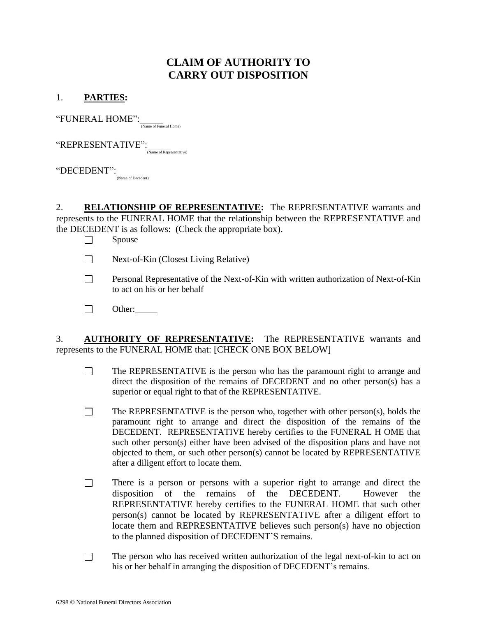## **CLAIM OF AUTHORITY TO CARRY OUT DISPOSITION**

## 1. **PARTIES:**

 $\lq\lq \text{FWERAL} \text{ HOME'':}$  (Name of Funeral Home)

 $\operatorname{``REPRESENTATIVE''}:\overline{\Delta_{\operatorname{``Name of Representative)}}}$ 

 $``\!$ DECEDENT $''$ : $\frac{1}{N$ ame of Decedent)

2. **RELATIONSHIP OF REPRESENTATIVE:** The REPRESENTATIVE warrants and represents to the FUNERAL HOME that the relationship between the REPRESENTATIVE and the DECEDENT is as follows: (Check the appropriate box).

Spouse  $\Box$ 

- $\Box$ Next-of-Kin (Closest Living Relative)
- Personal Representative of the Next-of-Kin with written authorization of Next-of-Kin  $\Box$ to act on his or her behalf
- $\Box$ Other:

3. **AUTHORITY OF REPRESENTATIVE:** The REPRESENTATIVE warrants and represents to the FUNERAL HOME that: [CHECK ONE BOX BELOW]

- $\Box$ The REPRESENTATIVE is the person who has the paramount right to arrange and direct the disposition of the remains of DECEDENT and no other person(s) has a superior or equal right to that of the REPRESENTATIVE.
- $\Box$ The REPRESENTATIVE is the person who, together with other person(s), holds the paramount right to arrange and direct the disposition of the remains of the DECEDENT. REPRESENTATIVE hereby certifies to the FUNERAL H OME that such other person(s) either have been advised of the disposition plans and have not objected to them, or such other person(s) cannot be located by REPRESENTATIVE after a diligent effort to locate them.
- There is a person or persons with a superior right to arrange and direct the  $\Box$ disposition of the remains of the DECEDENT. However the REPRESENTATIVE hereby certifies to the FUNERAL HOME that such other person(s) cannot be located by REPRESENTATIVE after a diligent effort to locate them and REPRESENTATIVE believes such person(s) have no objection to the planned disposition of DECEDENT'S remains.
- $\Box$ The person who has received written authorization of the legal next-of-kin to act on his or her behalf in arranging the disposition of DECEDENT's remains.